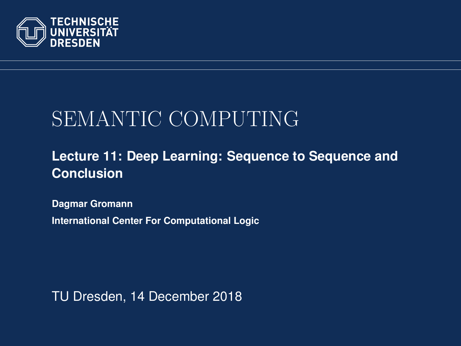<span id="page-0-0"></span>

# SEMANTIC COMPUTING

#### **[Lecture 11: Deep Learning: Sequence to Sequence and](https://iccl.inf.tu-dresden.de/web/Semantic_Computing_(SS2018)) [Conclusion](https://iccl.inf.tu-dresden.de/web/Semantic_Computing_(SS2018))**

**[Dagmar Gromann](https://iccl.inf.tu-dresden.de/web/Dagmar_Gromann)**

**International Center For Computational Logic**

TU Dresden, 14 December 2018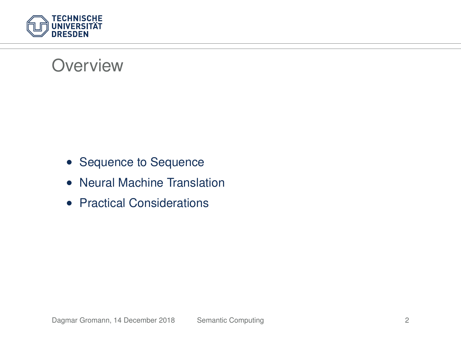

#### **Overview**

- Sequence to Sequence
- Neural Machine Translation
- Practical Considerations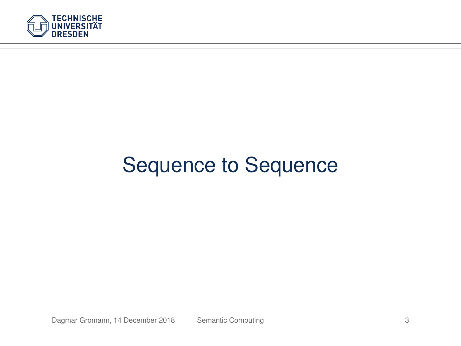

# Sequence to Sequence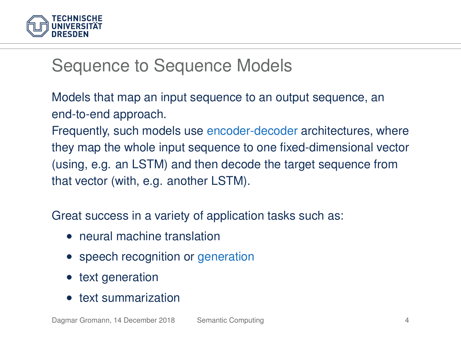

### Sequence to Sequence Models

Models that map an input sequence to an output sequence, an end-to-end approach.

Frequently, such models use encoder-decoder architectures, where they map the whole input sequence to one fixed-dimensional vector (using, e.g. an LSTM) and then decode the target sequence from that vector (with, e.g. another LSTM).

Great success in a variety of application tasks such as:

- neural machine translation
- speech recognition or [generation](https://www.naturalreaders.com/online?s=V25tnnagi5keg4gookgk8w448ow.pdf&t=NaturalReader%20Document)
- text generation
- text summarization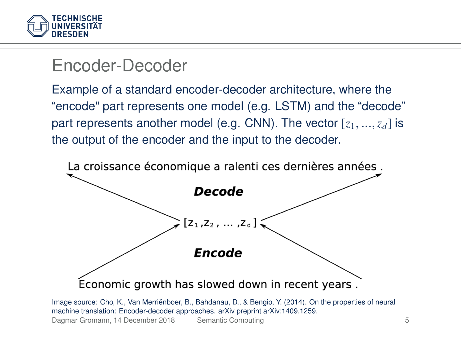

#### Encoder-Decoder

Example of a standard encoder-decoder architecture, where the "encode" part represents one model (e.g. LSTM) and the "decode" part represents another model (e.g. CNN). The vector [*z*1, ...,*zd*] is the output of the encoder and the input to the decoder.



Image source: Cho, K., Van Merriënboer, B., Bahdanau, D., & Bengio, Y. (2014). On the properties of neural machine translation: Encoder-decoder approaches. arXiv preprint arXiv:1409.1259.

Dagmar Gromann, 14 December 2018 [Semantic Computing](#page-0-0) 5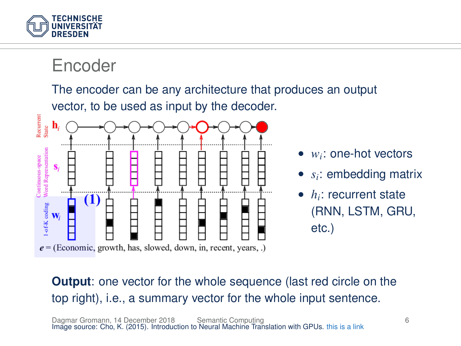

Encoder

The encoder can be any architecture that produces an output



- *w<sup>i</sup>* : one-hot vectors
- $\bullet$   $s_i$ : embedding matrix
- *h<sup>i</sup>* : recurrent state (RNN, LSTM, GRU, etc.)

**Output:** one vector for the whole sequence (last red circle on the top right), i.e., a summary vector for the whole input sentence.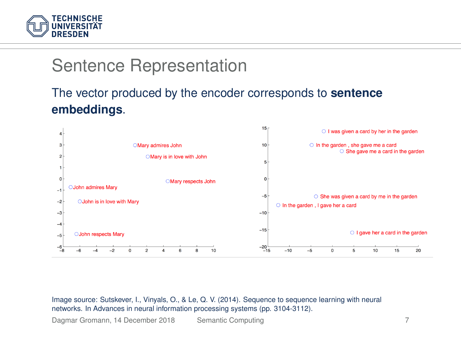

### Sentence Representation

#### The vector produced by the encoder corresponds to **sentence embeddings**.



Image source: Sutskever, I., Vinyals, O., & Le, Q. V. (2014). Sequence to sequence learning with neural networks. In Advances in neural information processing systems (pp. 3104-3112).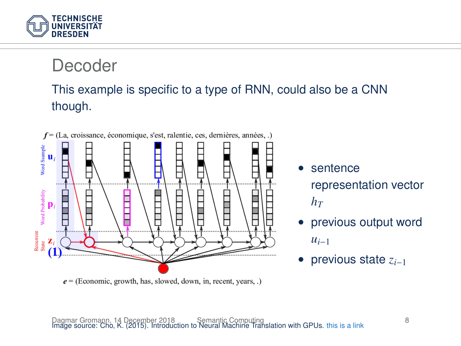

#### Decoder

#### This example is specific to a type of RNN, could also be a CNN though.



 $e =$  (Economic, growth, has, slowed, down, in, recent, years, .)

- sentence representation vector  $h_T$
- previous output word  $u_{i-1}$
- previous state *zi*−<sup>1</sup>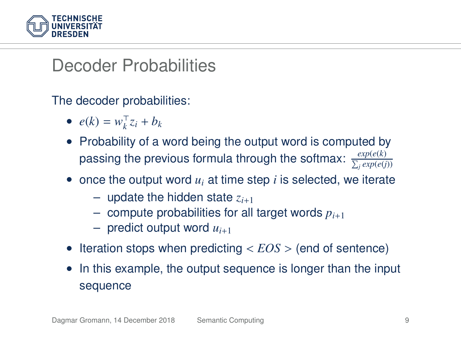

### Decoder Probabilities

The decoder probabilities:

- $e(k) = w_k^\top z_i + b_k$
- Probability of a word being the output word is computed by passing the previous formula through the softmax:  $\frac{exp(e(k))}{\sum_j exp(e(j))}$
- once the output word *u<sup>i</sup>* at time step *i* is selected, we iterate
	- $-$  update the hidden state  $z_{i+1}$
	- $-$  compute probabilities for all target words  $p_{i+1}$
	- $-$  predict output word  $u_{i+1}$
- Iteration stops when predicting < *EOS* > (end of sentence)
- In this example, the output sequence is longer than the input sequence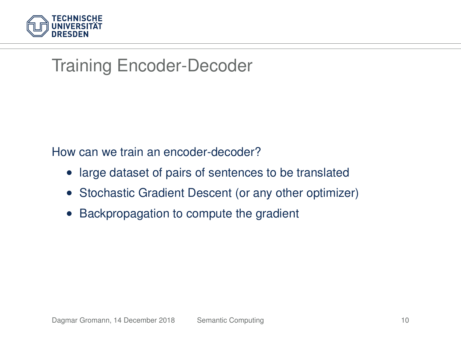

## Training Encoder-Decoder

How can we train an encoder-decoder?

- large dataset of pairs of sentences to be translated
- Stochastic Gradient Descent (or any other optimizer)
- Backpropagation to compute the gradient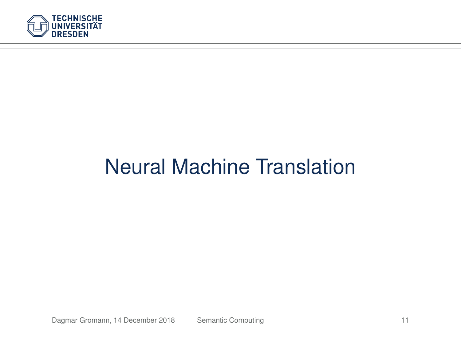

# Neural Machine Translation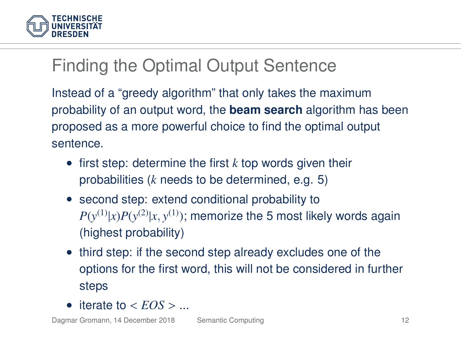

## Finding the Optimal Output Sentence

Instead of a "greedy algorithm" that only takes the maximum probability of an output word, the **beam search** algorithm has been proposed as a more powerful choice to find the optimal output sentence.

- first step: determine the first *k* top words given their probabilities (*k* needs to be determined, e.g. 5)
- second step: extend conditional probability to  $P(y^{(1)}|x)P(y^{(2)}|x,y^{(1)})$ ; memorize the 5 most likely words again (highest probability)
- third step: if the second step already excludes one of the options for the first word, this will not be considered in further steps
- iterate to  $\epsilon$  *EOS*  $>$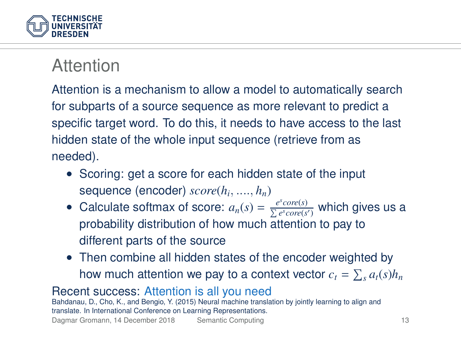

#### Attention

Attention is a mechanism to allow a model to automatically search for subparts of a source sequence as more relevant to predict a specific target word. To do this, it needs to have access to the last hidden state of the whole input sequence (retrieve from as needed).

- Scoring: get a score for each hidden state of the input sequence (encoder) *score*(*h<sup>i</sup>* , ...., *hn*)
- Calculate softmax of score:  $a_n(s) = \frac{e^s core(s)}{\sum e^s core(s')}$  which gives us a probability distribution of how much attention to pay to different parts of the source
- Then combine all hidden states of the encoder weighted by how much attention we pay to a context vector  $c_t = \sum_s a_t(s)h_n$

#### Recent success: [Attention is all you need](https://papers.nips.cc/paper/7181-attention-is-all-you-need.pdf)

Bahdanau, D., Cho, K., and Bengio, Y. (2015) Neural machine translation by jointly learning to align and translate. In International Conference on Learning Representations.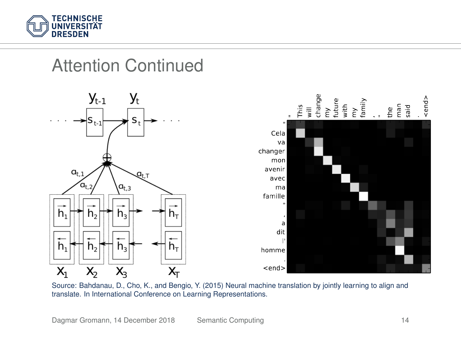

# Attention Continued





Source: Bahdanau, D., Cho, K., and Bengio, Y. (2015) Neural machine translation by jointly learning to align and translate. In International Conference on Learning Representations.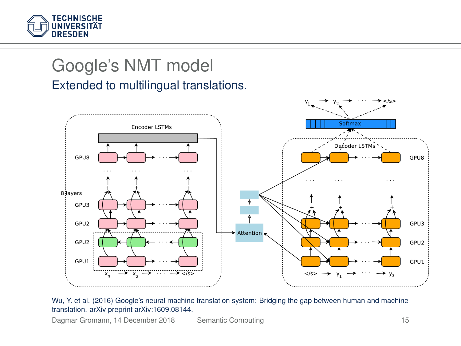

#### Google's NMT model Extended to multilingual translations.



Wu, Y. et al. (2016) Google's neural machine translation system: Bridging the gap between human and machine translation. arXiv preprint arXiv:1609.08144.

Dagmar Gromann, 14 December 2018 [Semantic Computing](#page-0-0) 15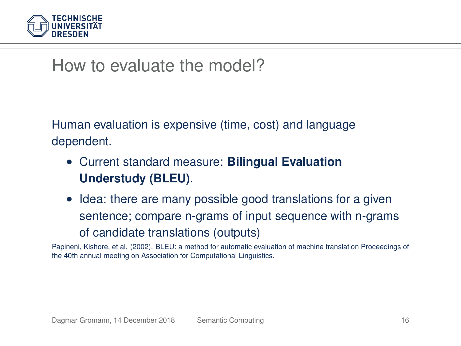

#### How to evaluate the model?

Human evaluation is expensive (time, cost) and language dependent.

- Current standard measure: **Bilingual Evaluation Understudy (BLEU)**.
- Idea: there are many possible good translations for a given sentence; compare n-grams of input sequence with n-grams of candidate translations (outputs)

Papineni, Kishore, et al. (2002). BLEU: a method for automatic evaluation of machine translation Proceedings of the 40th annual meeting on Association for Computational Linguistics.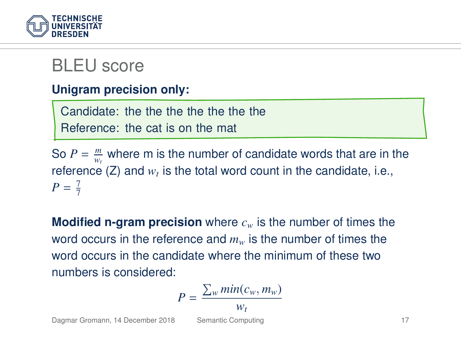

#### BLEU score

#### **Unigram precision only:**

Candidate: the the the the the the the Reference: the cat is on the mat

So  $P = \frac{m}{w_t}$  where m is the number of candidate words that are in the reference  $(Z)$  and  $w_t$  is the total word count in the candidate, i.e.,  $P = \frac{7}{7}$ 

**Modified n-gram precision** where *c<sup>w</sup>* is the number of times the word occurs in the reference and *m<sup>w</sup>* is the number of times the word occurs in the candidate where the minimum of these two numbers is considered:

$$
P = \frac{\sum_{w} min(c_w, m_w)}{w_t}
$$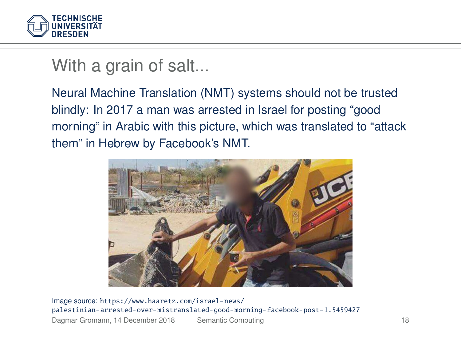

#### With a grain of salt...

Neural Machine Translation (NMT) systems should not be trusted blindly: In 2017 a man was arrested in Israel for posting "good morning" in Arabic with this picture, which was translated to "attack them" in Hebrew by Facebook's NMT.



Image source: [https://www.haaretz.com/israel-news/](https://www.haaretz.com/israel-news/palestinian-arrested-over-mistranslated-good-morning-facebook-post-1.5459427) [palestinian-arrested-over-mistranslated-good-morning-facebook-post-1.5459427](https://www.haaretz.com/israel-news/palestinian-arrested-over-mistranslated-good-morning-facebook-post-1.5459427) Dagmar Gromann, 14 December 2018 [Semantic Computing](#page-0-0) 18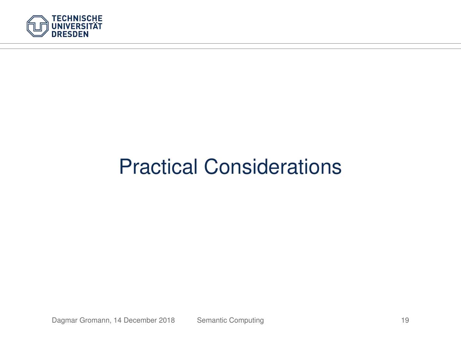

# Practical Considerations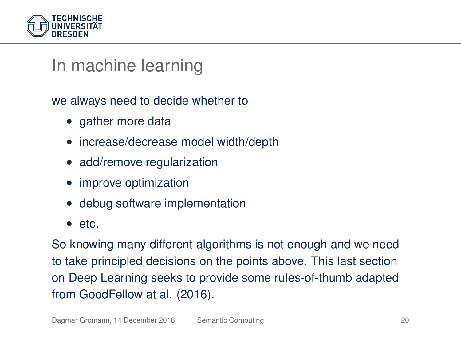

#### In machine learning

we always need to decide whether to

- gather more data
- increase/decrease model width/depth
- add/remove regularization
- improve optimization
- debug software implementation
- etc.

So knowing many different algorithms is not enough and we need to take principled decisions on the points above. This last section on Deep Learning seeks to provide some rules-of-thumb adapted from GoodFellow at al. (2016).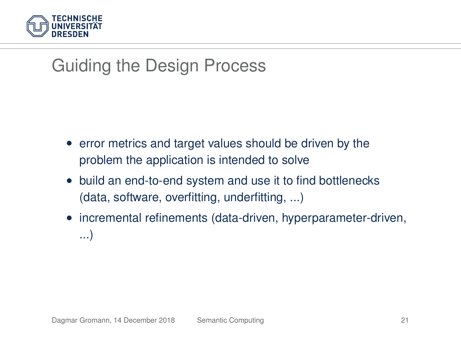

# Guiding the Design Process

- error metrics and target values should be driven by the problem the application is intended to solve
- build an end-to-end system and use it to find bottlenecks (data, software, overfitting, underfitting, ...)
- incremental refinements (data-driven, hyperparameter-driven, ...)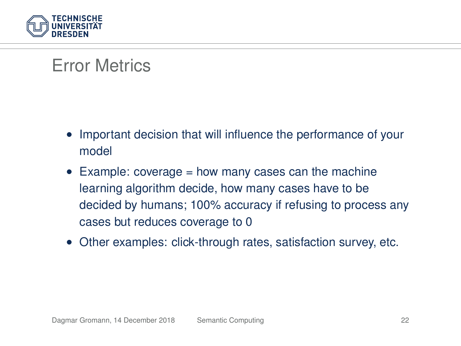

#### Error Metrics

- Important decision that will influence the performance of your model
- $\bullet$  Example: coverage = how many cases can the machine learning algorithm decide, how many cases have to be decided by humans; 100% accuracy if refusing to process any cases but reduces coverage to 0
- Other examples: click-through rates, satisfaction survey, etc.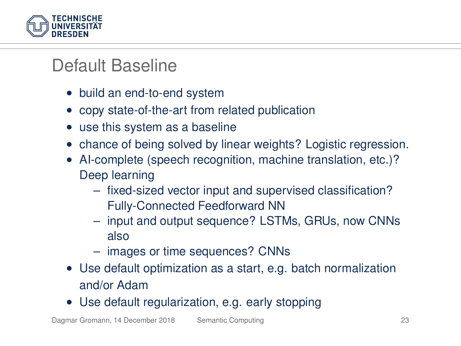

## Default Baseline

- build an end-to-end system
- copy state-of-the-art from related publication
- use this system as a baseline
- chance of being solved by linear weights? Logistic regression.
- AI-complete (speech recognition, machine translation, etc.)? Deep learning
	- fixed-sized vector input and supervised classification? Fully-Connected Feedforward NN
	- input and output sequence? LSTMs, GRUs, now CNNs also
	- images or time sequences? CNNs
- Use default optimization as a start, e.g. batch normalization and/or Adam
- Use default regularization, e.g. early stopping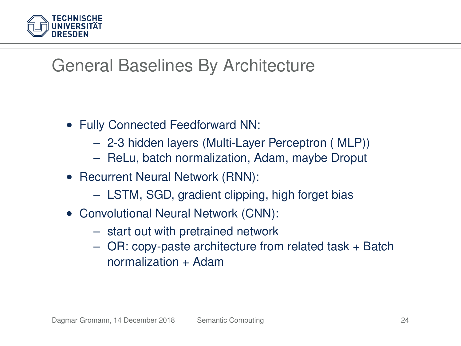

## General Baselines By Architecture

- Fully Connected Feedforward NN:
	- 2-3 hidden layers (Multi-Layer Perceptron ( MLP))
	- ReLu, batch normalization, Adam, maybe Droput
- Recurrent Neural Network (RNN):
	- LSTM, SGD, gradient clipping, high forget bias
- Convolutional Neural Network (CNN):
	- start out with pretrained network
	- OR: copy-paste architecture from related task + Batch normalization + Adam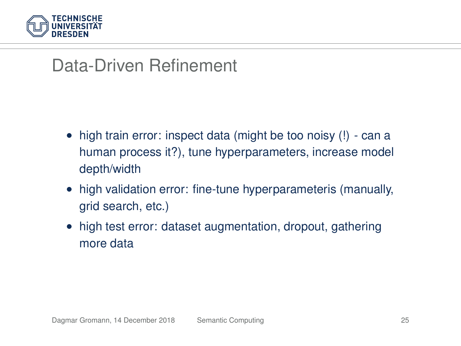

### Data-Driven Refinement

- high train error: inspect data (might be too noisy (!) can a human process it?), tune hyperparameters, increase model depth/width
- high validation error: fine-tune hyperparameteris (manually, grid search, etc.)
- high test error: dataset augmentation, dropout, gathering more data